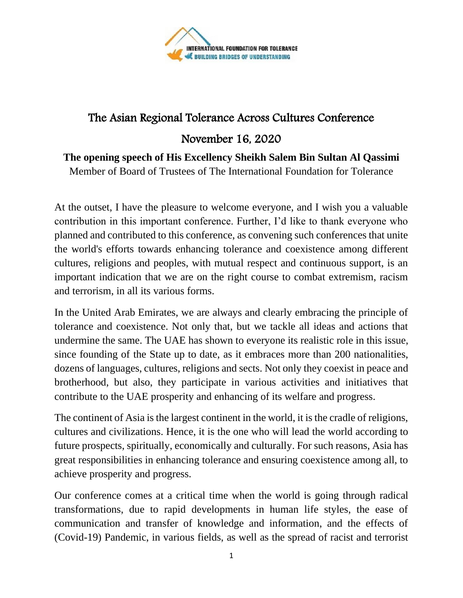

## The Asian Regional Tolerance Across Cultures Conference

November 16, 2020

**The opening speech of His Excellency Sheikh Salem Bin Sultan Al Qassimi**

Member of Board of Trustees of The International Foundation for Tolerance

At the outset, I have the pleasure to welcome everyone, and I wish you a valuable contribution in this important conference. Further, I'd like to thank everyone who planned and contributed to this conference, as convening such conferences that unite the world's efforts towards enhancing tolerance and coexistence among different cultures, religions and peoples, with mutual respect and continuous support, is an important indication that we are on the right course to combat extremism, racism and terrorism, in all its various forms.

In the United Arab Emirates, we are always and clearly embracing the principle of tolerance and coexistence. Not only that, but we tackle all ideas and actions that undermine the same. The UAE has shown to everyone its realistic role in this issue, since founding of the State up to date, as it embraces more than 200 nationalities, dozens of languages, cultures, religions and sects. Not only they coexist in peace and brotherhood, but also, they participate in various activities and initiatives that contribute to the UAE prosperity and enhancing of its welfare and progress.

The continent of Asia is the largest continent in the world, it is the cradle of religions, cultures and civilizations. Hence, it is the one who will lead the world according to future prospects, spiritually, economically and culturally. For such reasons, Asia has great responsibilities in enhancing tolerance and ensuring coexistence among all, to achieve prosperity and progress.

Our conference comes at a critical time when the world is going through radical transformations, due to rapid developments in human life styles, the ease of communication and transfer of knowledge and information, and the effects of (Covid-19) Pandemic, in various fields, as well as the spread of racist and terrorist